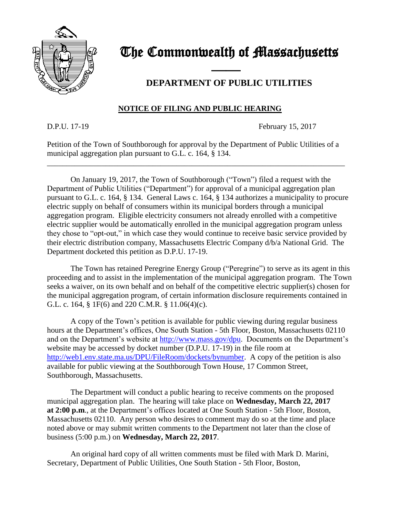

# The Commonwealth of Massachusetts

### **DEPARTMENT OF PUBLIC UTILITIES**

#### **NOTICE OF FILING AND PUBLIC HEARING**

and the contract of the contract of

D.P.U. 17-19 February 15, 2017

Petition of the Town of Southborough for approval by the Department of Public Utilities of a municipal aggregation plan pursuant to G.L. c. 164, § 134.

\_\_\_\_\_\_\_\_\_\_\_\_\_\_\_\_\_\_\_\_\_\_\_\_\_\_\_\_\_\_\_\_\_\_\_\_\_\_\_\_\_\_\_\_\_\_\_\_\_\_\_\_\_\_\_\_\_\_\_\_\_\_\_\_\_\_\_\_\_\_\_\_\_\_\_\_

On January 19, 2017, the Town of Southborough ("Town") filed a request with the Department of Public Utilities ("Department") for approval of a municipal aggregation plan pursuant to G.L. c. 164, § 134. General Laws c. 164, § 134 authorizes a municipality to procure electric supply on behalf of consumers within its municipal borders through a municipal aggregation program. Eligible electricity consumers not already enrolled with a competitive electric supplier would be automatically enrolled in the municipal aggregation program unless they chose to "opt-out," in which case they would continue to receive basic service provided by their electric distribution company, Massachusetts Electric Company d/b/a National Grid. The Department docketed this petition as D.P.U. 17-19.

The Town has retained Peregrine Energy Group ("Peregrine") to serve as its agent in this proceeding and to assist in the implementation of the municipal aggregation program. The Town seeks a waiver, on its own behalf and on behalf of the competitive electric supplier(s) chosen for the municipal aggregation program, of certain information disclosure requirements contained in G.L. c. 164, § 1F(6) and 220 C.M.R. § 11.06(4)(c).

A copy of the Town's petition is available for public viewing during regular business hours at the Department's offices, One South Station - 5th Floor, Boston, Massachusetts 02110 and on the Department's website at [http://www.mass.gov/dpu.](http://www.mass.gov/dpu) Documents on the Department's website may be accessed by docket number (D.P.U. 17-19) in the file room at [http://web1.env.state.ma.us/DPU/FileRoom/dockets/bynumber.](http://web1.env.state.ma.us/DPU/FileRoom/dockets/bynumber) A copy of the petition is also available for public viewing at the Southborough Town House, 17 Common Street, Southborough, Massachusetts.

The Department will conduct a public hearing to receive comments on the proposed municipal aggregation plan. The hearing will take place on **Wednesday, March 22, 2017 at 2:00 p.m**., at the Department's offices located at One South Station - 5th Floor, Boston, Massachusetts 02110. Any person who desires to comment may do so at the time and place noted above or may submit written comments to the Department not later than the close of business (5:00 p.m.) on **Wednesday, March 22, 2017**.

An original hard copy of all written comments must be filed with Mark D. Marini, Secretary, Department of Public Utilities, One South Station - 5th Floor, Boston,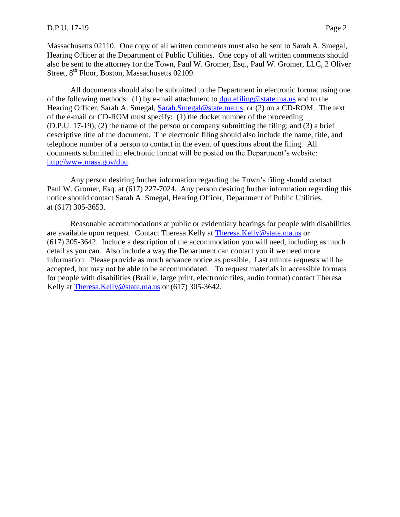Massachusetts 02110. One copy of all written comments must also be sent to Sarah A. Smegal, Hearing Officer at the Department of Public Utilities. One copy of all written comments should also be sent to the attorney for the Town, Paul W. Gromer, Esq., Paul W. Gromer, LLC, 2 Oliver Street, 8<sup>th</sup> Floor, Boston, Massachusetts 02109.

All documents should also be submitted to the Department in electronic format using one of the following methods: (1) by e-mail attachment to  $dpu$  efiling @state.ma.us and to the Hearing Officer, Sarah A. Smegal, [Sarah.Smegal@state.ma.us,](mailto:Sarah.Smegal@state.ma.us) or (2) on a CD-ROM. The text of the e-mail or CD-ROM must specify: (1) the docket number of the proceeding (D.P.U. 17-19); (2) the name of the person or company submitting the filing; and (3) a brief descriptive title of the document. The electronic filing should also include the name, title, and telephone number of a person to contact in the event of questions about the filing. All documents submitted in electronic format will be posted on the Department's website: [http://www.mass.gov/dpu.](http://www.mass.gov/dpu)

Any person desiring further information regarding the Town's filing should contact Paul W. Gromer, Esq. at (617) 227-7024. Any person desiring further information regarding this notice should contact Sarah A. Smegal, Hearing Officer, Department of Public Utilities, at (617) 305-3653.

Reasonable accommodations at public or evidentiary hearings for people with disabilities are available upon request. Contact Theresa Kelly at [Theresa.Kelly@state.ma.us](mailto:Theresa.Kelly@state.ma.us) or (617) 305-3642. Include a description of the accommodation you will need, including as much detail as you can. Also include a way the Department can contact you if we need more information. Please provide as much advance notice as possible. Last minute requests will be accepted, but may not be able to be accommodated. To request materials in accessible formats for people with disabilities (Braille, large print, electronic files, audio format) contact Theresa Kelly at [Theresa.Kelly@state.ma.us](mailto:Theresa.Kelly@state.ma.us) or (617) 305-3642.